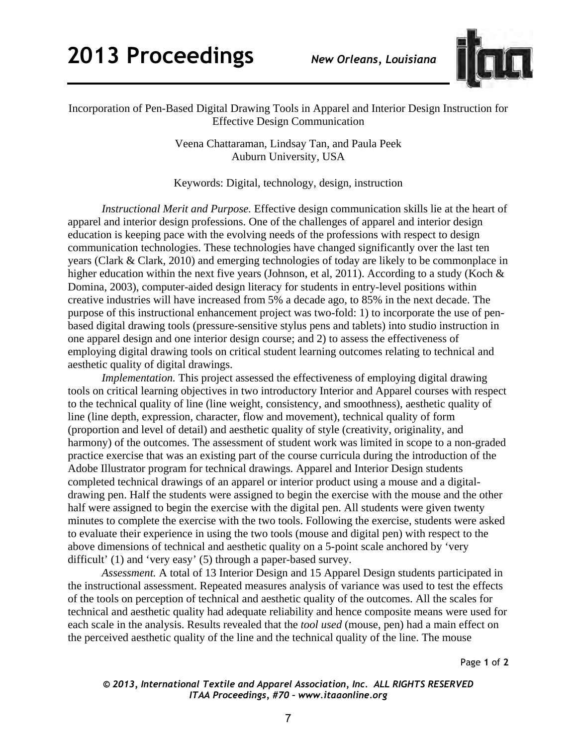## **2013 Proceedings** *New Orleans, Louisiana*



Incorporation of Pen-Based Digital Drawing Tools in Apparel and Interior Design Instruction for Effective Design Communication

> Veena Chattaraman, Lindsay Tan, and Paula Peek Auburn University, USA

> Keywords: Digital, technology, design, instruction

*Instructional Merit and Purpose.* Effective design communication skills lie at the heart of apparel and interior design professions. One of the challenges of apparel and interior design education is keeping pace with the evolving needs of the professions with respect to design communication technologies. These technologies have changed significantly over the last ten years (Clark & Clark, 2010) and emerging technologies of today are likely to be commonplace in higher education within the next five years (Johnson, et al, 2011). According to a study (Koch & Domina, 2003), computer-aided design literacy for students in entry-level positions within creative industries will have increased from 5% a decade ago, to 85% in the next decade. The purpose of this instructional enhancement project was two-fold: 1) to incorporate the use of penbased digital drawing tools (pressure-sensitive stylus pens and tablets) into studio instruction in one apparel design and one interior design course; and 2) to assess the effectiveness of employing digital drawing tools on critical student learning outcomes relating to technical and aesthetic quality of digital drawings.

*Implementation.* This project assessed the effectiveness of employing digital drawing tools on critical learning objectives in two introductory Interior and Apparel courses with respect to the technical quality of line (line weight, consistency, and smoothness), aesthetic quality of line (line depth, expression, character, flow and movement), technical quality of form (proportion and level of detail) and aesthetic quality of style (creativity, originality, and harmony) of the outcomes. The assessment of student work was limited in scope to a non-graded practice exercise that was an existing part of the course curricula during the introduction of the Adobe Illustrator program for technical drawings. Apparel and Interior Design students completed technical drawings of an apparel or interior product using a mouse and a digitaldrawing pen. Half the students were assigned to begin the exercise with the mouse and the other half were assigned to begin the exercise with the digital pen. All students were given twenty minutes to complete the exercise with the two tools. Following the exercise, students were asked to evaluate their experience in using the two tools (mouse and digital pen) with respect to the above dimensions of technical and aesthetic quality on a 5-point scale anchored by 'very difficult' (1) and 'very easy' (5) through a paper-based survey.

*Assessment.* A total of 13 Interior Design and 15 Apparel Design students participated in the instructional assessment. Repeated measures analysis of variance was used to test the effects of the tools on perception of technical and aesthetic quality of the outcomes. All the scales for technical and aesthetic quality had adequate reliability and hence composite means were used for each scale in the analysis. Results revealed that the *tool used* (mouse, pen) had a main effect on the perceived aesthetic quality of the line and the technical quality of the line. The mouse

Page **1** of **2** 

*© 2013, International Textile and Apparel Association, Inc. ALL RIGHTS RESERVED ITAA Proceedings, #70 – www.itaaonline.org*